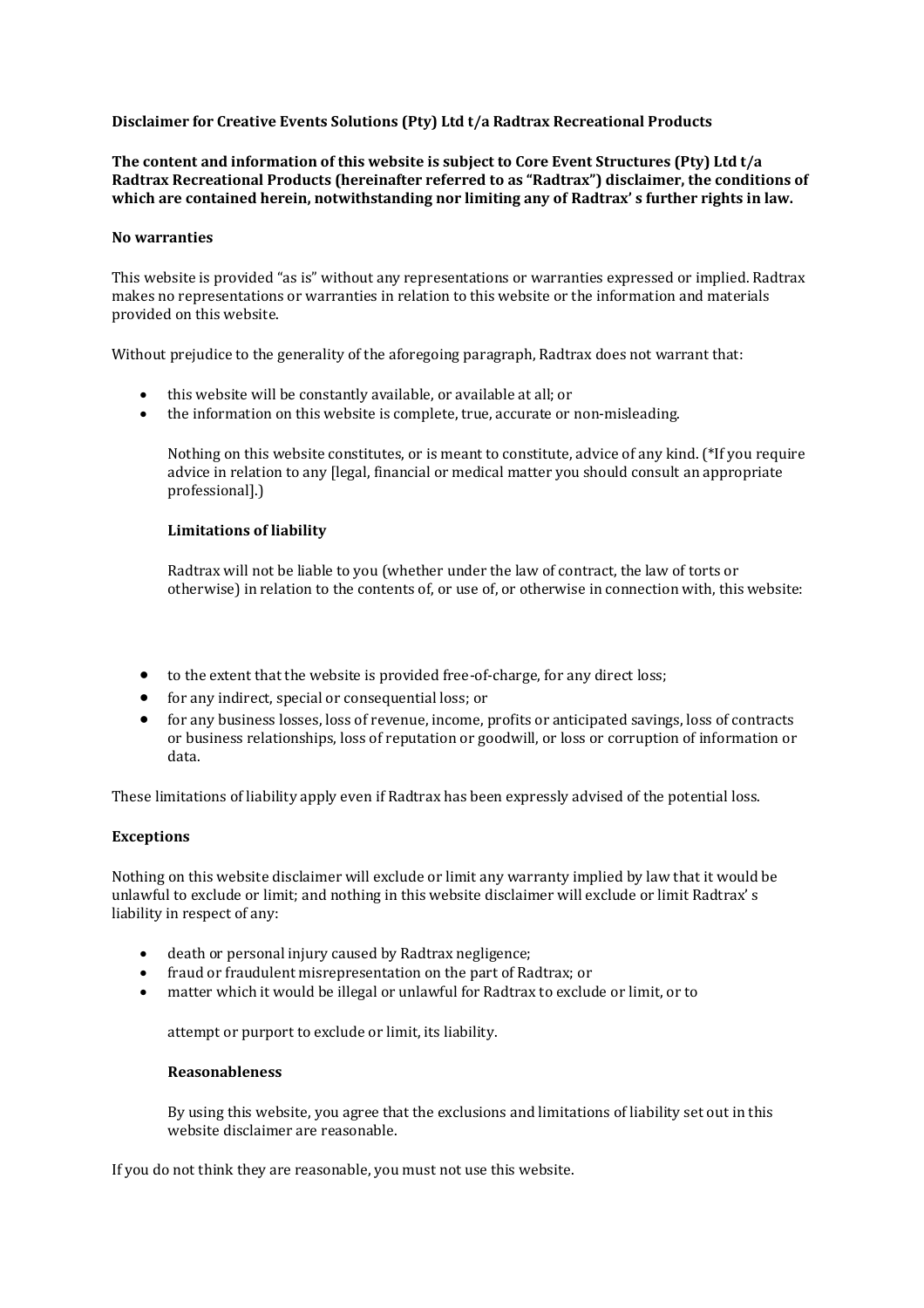# **Disclaimer for Creative Events Solutions (Pty) Ltd t/a Radtrax Recreational Products**

**The content and information of this website is subject to Core Event Structures (Pty) Ltd t/a Radtrax Recreational Products (hereinafter referred to as "Radtrax") disclaimer, the conditions of which are contained herein, notwithstanding nor limiting any of Radtrax' s further rights in law.** 

### **No warranties**

This website is provided "as is" without any representations or warranties expressed or implied. Radtrax makes no representations or warranties in relation to this website or the information and materials provided on this website.

Without prejudice to the generality of the aforegoing paragraph, Radtrax does not warrant that:

- this website will be constantly available, or available at all; or
- the information on this website is complete, true, accurate or non-misleading.

Nothing on this website constitutes, or is meant to constitute, advice of any kind. (\*If you require advice in relation to any [legal, financial or medical matter you should consult an appropriate professional].)

## **Limitations of liability**

Radtrax will not be liable to you (whether under the law of contract, the law of torts or otherwise) in relation to the contents of, or use of, or otherwise in connection with, this website:

- to the extent that the website is provided free-of-charge, for any direct loss;
- for any indirect, special or consequential loss; or
- for any business losses, loss of revenue, income, profits or anticipated savings, loss of contracts or business relationships, loss of reputation or goodwill, or loss or corruption of information or data.

These limitations of liability apply even if Radtrax has been expressly advised of the potential loss.

## **Exceptions**

Nothing on this website disclaimer will exclude or limit any warranty implied by law that it would be unlawful to exclude or limit; and nothing in this website disclaimer will exclude or limit Radtrax' s liability in respect of any:

- death or personal injury caused by Radtrax negligence;
- fraud or fraudulent misrepresentation on the part of Radtrax; or
- matter which it would be illegal or unlawful for Radtrax to exclude or limit, or to

attempt or purport to exclude or limit, its liability.

## **Reasonableness**

By using this website, you agree that the exclusions and limitations of liability set out in this website disclaimer are reasonable.

If you do not think they are reasonable, you must not use this website.